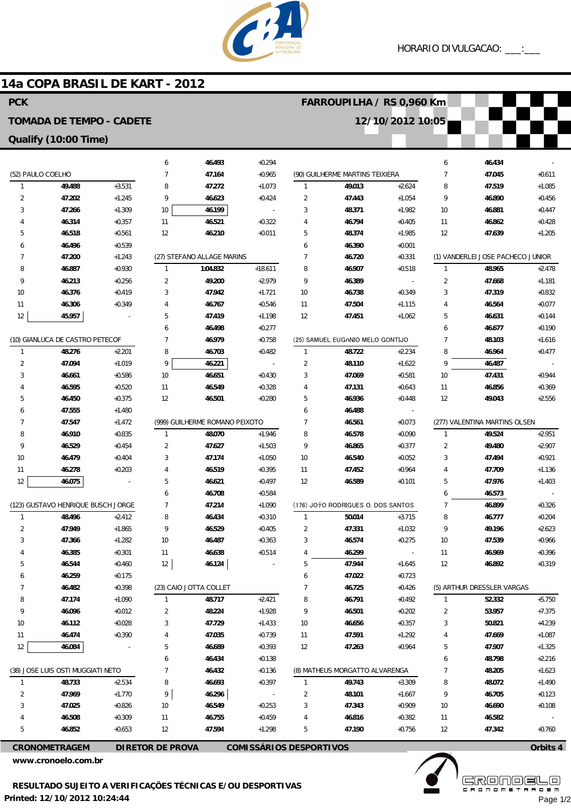

### **14a COPA BRASIL DE KART - 2012**

#### 6 7 8  $\overline{q}$ 10 11 12 (27) STEFANO ALLAGE MARINS 1 2 3 4 5 6 7 8 9 10 11 12 (999) GUILHERME ROMANO PEIXOTO 1  $\overline{2}$ 3 4 5 6 7 8 9 10 11 12 (23) CAIO JOTTA COLLET 1 2 3 4 5 6 7 8  $\overline{q}$ 10 11 12 **46.493 47.164 47.272 46.623 46.199 46.521 46.210 1:04.832 49.200 47.942 46.767 47.419 46.498 46.979 46.703 46.221 46.651 46.549 46.501 48.070 47.627 47.174 46.519 46.621 46.708 47.214 46.434 46.529 46.487 46.638 46.124 48.717 48.224 47.729 47.035 46.689 46.434 46.432 46.693 46.296 46.549 46.755 47.594** +0.294 +0.965 +1.073 +0.424 - +0.322 +0.011 +18.611 +2.979 +1.721 +0.546 +1.198 +0.277 +0.758 +0.482 - +0.430  $+0.328$ +0.280 +1.946  $+1.503$ +1.050 +0.395 +0.497 +0.584 +1.090 +0.310 +0.405 +0.363 +0.514 - +2.421 +1.928 +1.433 +0.739 +0.393  $+0.138$ +0.136 +0.397 - +0.253 +0.459 +1.298 (90) GUILHERME MARTINS TEIXIERA 1 2 3 4 5 6 7 8 9 10 11 12 (25) SAMUEL EUGハNIO MELO GONTIJO 1  $\overline{2}$ 3 4 5 6 7 8  $\overline{Q}$ 10 11 12 (176) JOテO RODRIGUES O. DOS SANTOS 1 2 3 4 5 6 7 8  $\overline{Q}$ 10 11 12 (8) MATHEUS MORGATTO ALVARENGA 1 2 3 4 5 **49.013 47.443 48.371 46.794 48.374 46.390 46.720 46.907 46.389 46.738 47.504 47.451 48.722 48.110 47.069 47.131 46.936 46.488 46.561 46.578 46.865 46.540 47.452 46.589 50.014 47.331 46.574 46.299 47.944 47.022 46.725 46.791 46.501 46.656 47.591 47.263 49.743 48.101 47.343 46.816 47.190** +2.624 +1.054 +1.982 +0.405 +1.985 +0.001 +0.331 +0.518 - +0.349 +1.115 +1.062  $+2.234$ +1.622 +0.581 +0.643 +0.448 - +0.073 +0.090 +0.377 +0.052 +0.964 +0.101 +3.715 +1.032 +0.275 - +1.645 +0.723 +0.426 +0.492 +0.202 +0.357 +1.292 +0.964 +3.309 +1.667 +0.909 +0.382 +0.756 6 7 8  $\alpha$ 10 11 12 (1) VANDERLEI JOSE PACHECO JUNIOR 1 2 3 4 5 6 7 8 9 10 11 12 (277) VALENTINA MARTINS OLSEN 1  $\overline{2}$ 3 4 5 6 7 8 9 10 11 12 (5) ARTHUR DRESSLER VARGAS 1 2 3 4 5 6 7 8 9 10 11 12 **46.434 47.045 47.519 46.890 46.881 46.862 47.639 48.965 47.668 47.319 46.564 46.631 46.677 48.103 46.964 46.487 47.431 46.856 49.043 49.524 49.480 47.494 47.709 47.976 46.573 46.899 46.777 49.196 47.539 46.969 46.892 52.332 53.957 50.821 47.669 47.907 48.798 48.205 48.072 46.705 46.690 46.582 47.342** - +0.611 +1.085 +0.456 +0.447 +0.428 +1.205 +2.478 +1.181 +0.832 +0.077  $+0.144$ +0.190 +1.616  $+0.477$ - +0.944 +0.369 +2.556 +2.951 +2.907 +0.921 +1.136 +1.403 - +0.326 +0.204 +2.623 +0.966 +0.396 +0.319 +5.750 +7.375 +4.239 +1.087 +1.325  $+2.216$ +1.623 +1.490 +0.123 +0.108 - +0.760 (52) PAULO COELHO 1 2 3 4 5 6 7 8 9 10 11 12 (10) GIANLUCA DE CASTRO PETECOF 1  $\overline{2}$ 3 4 5 6 7 8  $\overline{9}$ 10 11 12 (123) GUSTAVO HENRIQUE BUSCH JORGE 1 2 3 4 5 6 7 8 9 10 11 12 (38) JOSE LUIS OSTI MUGGIATI NETO 1 2 3 4 5 **49.488 47.202 47.266 46.314 46.518 46.496 47.200 46.887 46.213 46.376 46.306 45.957 48.276 47.094 46.661 46.595 46.450 47.555 47.547 46.910 46.529 46.479 46.278 46.075 48.496 47.949 47.366 46.385 46.544 46.259 46.482 47.174 46.096 46.112 46.474 46.084 48.733 47.969 47.025 46.508 46.852** +3.531  $+1.245$ +1.309 +0.357 +0.561 +0.539  $+1.243$ +0.930 +0.256  $+0.419$ +0.349 - +2.201 +1.019 +0.586 +0.520 +0.375 +1.480 +1.472 +0.835  $+0.454$ +0.404 +0.203 - +2.412 +1.865 +1.282 +0.301  $+0.460$ +0.175 +0.398 +1.090 +0.012 +0.028 +0.390 - +2.534 +1.770 +0.826 +0.309 +0.653 **PCK TOMADA DE TEMPO - CADETE Qualify (10:00 Time) FARROUPILHA / RS 0,960 Km 12/10/2012 10:05**

**CRONOMETRAGEM DIRETOR DE PROVA COMISSÁRIOS DESPORTIVOS**

**www.cronoelo.com.br**

**Orbits 4**

**www.mylaps.com**

**Licensed to: Cronoelo** Page 1/2